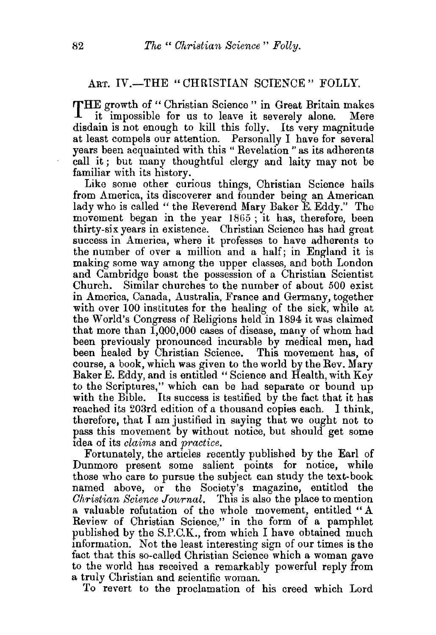## ART. IV.-THE "CHRISTIAN SCIENCE" FOLLY.

THE growth of " Christian Science " in Great Britain makes<br>it impossible for us to leave it severely alone. Mere it impossible for us to leave it severely alone. disdain is not enough to kill this folly. Its very magnitude at least compels our attention. Personally I have for several years been acquainted with this " Revelation " as its adherents call it ; but many thoughtful clergy and laity may not be familiar with its history.

Like some other curious things, Christian Science hails from America, its discoverer and founder being an American lady who is called " the Reverend Mary Baker E. Eddy." The movement began in the year 1865 ; it has, therefore, been thirty-six years in existence. Christian Science has had great success in America, where it professes to have adherents to the number of over a million and a half; in England it is making some way among the upper classes, and both London and Cambridge boast the possession of a Christian Scientist Church. Similar churches to the number of about 500 exist in America, Canada, Australia, France and Germany, together with over 100 institutes for the healing of the sick, while at the World's Congress of Religions held in 1894 it was claimed that more than 1,000,000 cases of disease, many of whom had been previously pronounced incurable by medical men, had been healed by Christian Science. This movement has, of course, a book, which was given to the world by the Rev. Mary Baker E. Eddy, and is entitled " Science and Health, with Key to the Scriptures," which can be had separate or bound up with the Bible. Its success is testified by the fact that it has reached its 203rd edition of a thousand copies each. I think, therefore, that I am justified in saying that we ought not to pass this movement by without notice, but should get some idea of its *claims* and *practice.* 

Fortunately, the articles recently published by the Earl of Dunmore present some salient points for notice, while those who care to pursue the subject can study the text-book named above, or the Society's magazine, entitled the *Christian Science Journal.* This is also the place to mention a valuable refutation of the whole movement, entitled "A Review of Christian Science," in the form of a pamphlet published by the S.P.C.K., from which I have obtained much information. Not the least interesting sign of our times is the fact that this so-called Christian Science which a woman gave to the world has received a remarkably powerful reply from a truly Christian and scientific woman.

To revert to the proclamation of his creed which Lord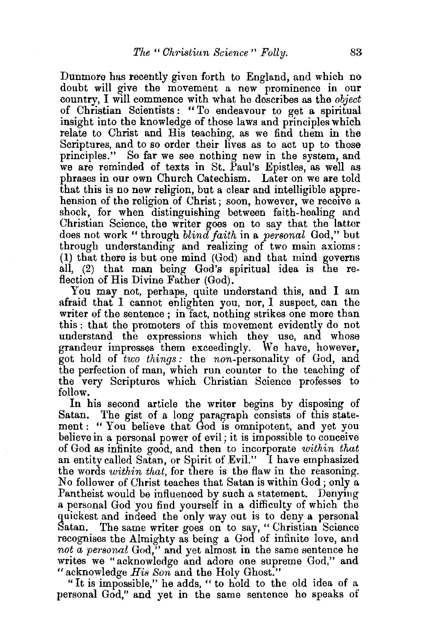Dunmore has recently given forth to England, and which no doubt will give the movement a new prominence in our country, I will commence with what he describes as the *object*  of Christian Scientists : "To endeavour to get a spiritual insight into the knowledge of those laws and principles which relate to Christ and His teaching, as we find them in the Scriptures, and to so order their lives as to act up to those principles." So far we see nothing new in the system, and we are reminded of texts in St. Paul's Epistles, as well as phrases in our own Church Catechism. Later on we are told that this is no new religion, but a clear and intelligible apprehension of the religion of Christ; soon, however, we receive a shock, for when distinguishing between faith-healing and Christian Science, the writer goes on to say that the latter does not work "through *blind faith* in a *personal* God," but through understanding and realizing of two main axioms: (1) that there is but one mind (God) and that mind governs all, (2) that man being God's spiritual idea is the reflection of His Divine Father (God).

You may not, perhaps, quite understand this, and I am afraid that I cannot enlighten you, nor, I suspect, can the writer of the sentence ; in fact, nothing strikes one more than this : that the promoters of this movement evidently do not understand the expressions which they use, and whose grandeur impresses them exceedingly. We have, however, got hold of *two things :* the non-personality of God, and the perfection of man, which run counter to the teaching of the very Scriptures which Christian Science professes to follow.

In his second article the writer begins by disposing of Satan. The gist of a long paragraph consists of this statement : "You believe that God is omnipotent, and yet you believe in a personal power of evil; it is impossible to conceive of God as infinite good, and then to incorporate *within that*  an entity called Satan, or Spirit of Evil." I have emphasized the words *within that,* for there is the flaw in the reasoning. No follower of Christ teaches that Satan is within God; only a Pantheist would be influenced by such a statement. Denying a personal God you find yourself in a difficulty of which the quickest and indeed the only way out is to deny a personal Satan. The same writer goes on to say, "Christian Science recognises the Almighty as being a God of infinite love, and *not a personal* God," and yet almost in the same sentence he writes we "acknowledge and adore one supreme God," and "acknowledge *His Son* and the Holy Ghost."

"It is impossible," he adds, " to hold to the old idea of a personal God," and yet in the same sentence he speaks of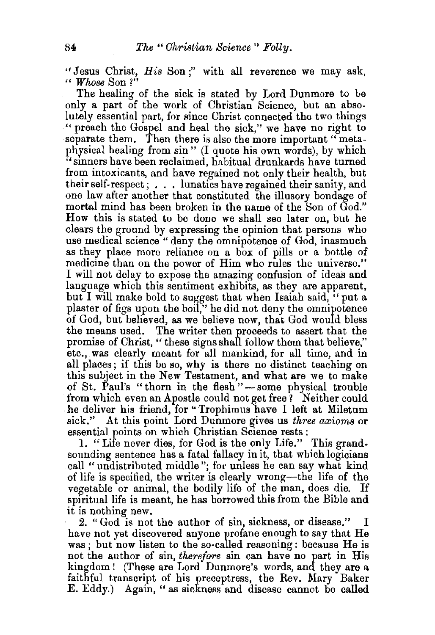"Jesus Christ, *His* Son;" with all reverence we may ask, " *Whose* Son ?"

The healing of the sick is stated by Lord Dunmore to be only a part of the work of Christian Science, but an absolutely essential part, for since Christ connected the two things ·" preach the Gospel and heal the sick," we have no right to separate them. Then there is also the more important "metaphysical healing from sin" (I quote his own words), by which "sinners have been reclaimed, habitual drunkards have turned from intoxicants, and have regained not only their health, but their self-respect; ... lunatics have regained their sanity, and one law after another that constituted the illusory bondage of mortal mind has been broken in the name of the Son of God." How this is stated to be done we shall see later on, but he clears the ground by expressing the opinion that persons who use medical science " deny the omnipotence of God, inasmuch as they place more reliance on a box of pills or a bottle of medicine than on the power of Him who rules the universe." I will not delay to expose the amazing confusion of ideas and language which this sentiment exhibits, as they are apparent, but I will make bold to suggest that when Isaiah said,  $\cdot$  put a plaster of figs upon the boil," he did not deny the omnipotence of God, but believed, as we believe now, that God would bless the means used. The writer then proceeds to assert that the promise of Christ, " these signs shall follow them that believe," etc., was clearly meant for all mankind, for all time, and in all places; if this be so, why is there no distinct teaching on this subject in the New Testament, and what are we to make of St. Paul's "thorn in the flesh"—some physical trouble from which even an Apostle could not get free? Neither could he deliver his friend, for "Trophimus have I left at Miletum sick.'' At this point Lord Dunmore gives us *three axioms* or essential points on which Christian Science rests:

1. "Life never dies, for God is the only Life.'' This grandsounding sentence has a fatal fallacy in it, that which logicians call "undistributed middle"; for unless he can say what kind of life is specified, the writer is clearly wrong-the life of the vegetable or animal, the bodily life of the man, does die. If spiritual life is meant, he has borrowed this from the Bible and it is nothing new.

2. "God is not the author of sin, sickness, or disease." have not yet discovered anyone profane enough to say that He was ; but now listen to the so-called reasoning: because He is not the author of sin, *therefore* sin can have no part in His kingdom ! (These are Lord Dunmore's words, and they are a faithful transcript of his preceptress, the Rev. Mary Baker E. Eddy.) Again," as sickness and disease cannot be called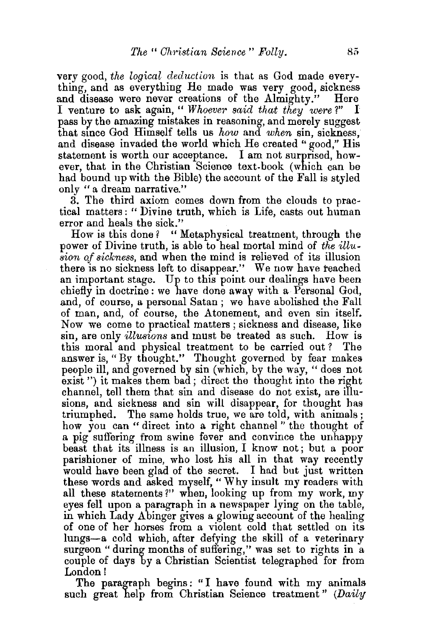very good, *tlie logical deduction* is that as God made everything, and as everything He made was very good, sickness and disease were never creations of the Almighty." Here<br>I venture to ask again. "Whoever said that they were?" I I venture to ask again, "*Whoever said that they were?"* pass by the amazing mistakes in reasoning, and merely suggest that since God Himself tells us *how* and *when* sin, sickness, and disease invaded the world which He created "good," His statement is worth our acceptance. I am not surprised, how~ ever, that in the Christian Science text-book (which can be had bound up with the Bible) the account of the Fall is styled only "a dream narrative."

3. The third axiom comes down from the clouds to practical matters: "Divine truth, which is Life, casts out human

error and heals the sick."<br>How is this done? " l " Metaphysical treatment, through the power of Divine truth, is able to heal mortal mind of *the* illu*sion of sickness,* and when the mind is relieved of its illusion there is no sickness left to disappear." We now have reached an important stage. Up to this point our dealings have been chiefly in doctrine: we have done away with a Personal God, and, of course, a personal Satan ; we have abolished the Fall of man, and, of course, the Atonement, and even sin itself. Now we come to practical matters ; sickness and disease, like sin, are only *illusions* and must be treated as such. How is this moral and physical treatment to be carried out? The answer is, "By thought." Thought governed by fear makes people ill, and governed by sin (which, by the way, " does not exist ") it makes them bad; direct the thought into the right channel, tell them that sin and disease do not exist, are illusions, and sickness and sin will disappear, for thought bas triumphed. The same holds true, we are told, with animals ; how you can " direct into a right channel" the thought of a pig suffering from swine fever and convince the unhappy beast that its illness is an illusion, I know not; but a poor parishioner of mine, who lost his all in that way recently would have been glad of the secret. I had but just written these words and asked myself," Why insult my readers with all these statements?" when, looking up from my work, my eyes fell upon a paragraph in a newspaper lying on the table, in which Lady Abinger gives a glowing account of the healing of one of her horses from a violent cold that settled on its lungs-a cold which, after defying the skill of a veterinary surgeon " during months of suffering," was set to rights in a couple of days by a Christian Scientist telegraphed for from London l

The paragraph begins: "I have found with my animals such great help from Christian Science treatment" (Daily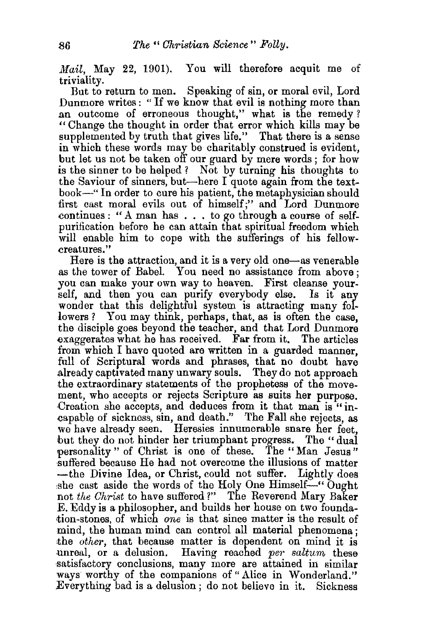Mail, May 22, 1901). You will therefore acquit me of triviality.

But to return to men. Speaking of sin, or moral evil, Lord Dunmore writes : " If we know that evil is nothing more than an outcome of erroneous thought," what is the remedy? " Change the thought in order that error which kills may be supplemented by truth that gives life." That there is a sense in which these words may be charitably construed is evident, but let us not be taken off our guard by mere words ; for how is the sinner to be helped ? Not by turning his thoughts to the Saviour of sinners, but-here I quote again from the textbook-" In order to cure his patient, the metaphysician should first cast moral evils out of himself;" and Lord Dunmore eontinues : " A man has . . . to go through a course of selfpurification before he can attain that spiritual freedom which will enable him to cope with the sufferings of his fellowereatures."

Here is the attraction, and it is a very old one-as venerable as the tower of Babel. You need no assistance from above ; you can make your own way to heaven. First cleanse yourself, and then you can purify everybody else. Is it any wonder that this delightful system is attracting many followers ? You may think, perhaps, that, as is often the case. the disciple goes beyond the teacher, and that Lord Dunmore exaggerates what he has received. Far from it. The articles from which I have quoted are written in a guarded manner, full of Scriptural words and phrases, that no doubt have already captivated many unwary souls. They do not approach the extraordinary statements of the prophetess of the movement, who accepts or rejects Scripture as suits her purpose. Creation she accepts, and deduces from it that man is "in-.capable of sickness, sin, and death." The Fall she rejects, as we have already seen. Heresies innumerable snare her feet. but they do not hinder her triumphant progress. The "dual personality " of Christ is one of these. The " Man Jesus " suffered because He had not overcome the illusions of matter -the Divine Idea, or Christ, could not suffer. Lightly does she cast aside the words of the Holy One  $\lim\text{self--}''$  Ought not *the Christ* to have suffered?" The Reverend Mary Baker E. Eddy is a philosopher, and builds her house on two foundation-stones, of which *one* is that since matter is the result of mind, the human mind can control all material phenomena; •the *other,* that because matter is dependent on mind it is unreal, or a delusion. Having reached *per saltum* these satisfactory conclusions, many more are attained in similar ways worthy of the companions of "Alice in Wonderland." Everything bad is a delusion; do not believe in it. Sickness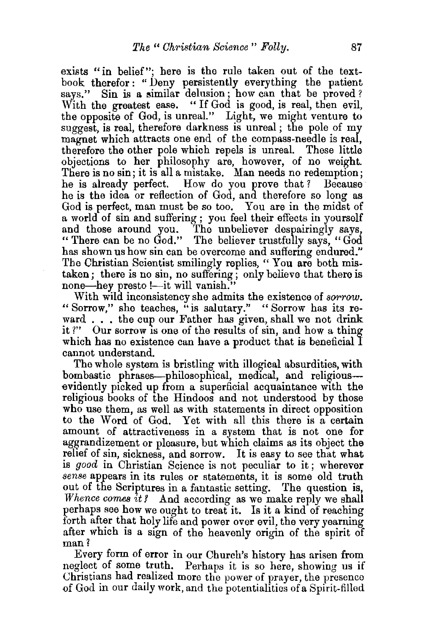exists "in belief"; here is the rule taken out of the textbook therefor: " Deny persistently everything the patient says." Sin is a similar delusion; how can that be proved? With the greatest ease. "If God is good, is real, then evil, the opposite of God, is unreal." Light, we might venture to suggest, is real, therefore darkness is unreal; the pole of my magnet which attracts one end of the compass-needle is real, therefore the other pole which repels is unreal. These little objections to her philosophy are, however, of no weight. There is no sin; it is all a mistake. Man needs no redemption; he is already perfect. How do you prove that ? Because he is the idea or reflection of God, and therefore so long as God is perfect, man must be so too. You are in the midst of a world of sin and suffering ; you feel their effects in yourself<br>and those around you. The unbeliever despairingly says. The unbeliever despairingly says, "There can be no God." The believer trustfully says, "God" has shown us how sin can be overcome and suffering endured." The Christian Scientist smilingly replies, " You are both mistaken; there is no sin, no suffering; only believe that there is none—hey presto !—it will vanish."

With wild inconsistency she admits the existence of *sorrow*. " Sorrow," she teaches, "is salutary." " Sorrow has its reward . . . the cup our Father has given, shall we not drink it ?" Our sorrow is one of the results of sin, and how a thing which has no existence can have a product that is beneficial I cannot understand.

The whole system is bristling with illogical absurdities, with bombastic phrases—philosophical, medical, and religious evidently picked up from a superficial acquaintance with the religious books of the Hindoos and not understood by those who use them, as well as with statements in direct opposition to the Word of God. Yet with all this there is a certain amount of attractiveness in a system that is not one for aggrandizement or pleasure, but which claims as its object the relief of sin, sickness, and sorrow. It is easy to see that what is *good* in Christian Science is not peculiar to it; wherever *sense* appears in its rules or statements, it is some old truth out of the Scriptures in a fantastic setting. The question is, *Whence comes it?* And according as we make reply we shall perhaps see how we ought to treat it. Is it a kind of reaching forth after that holy life and power over evil, the very yearning after which is a sign of the heavenly origin of the spirit of man?

Every form of error in our Church's history has arisen from neglect of some truth. Perhaps it is so here, showing us if Christians had realized more the power of prayer, the presence .of God in our dally work, and the potentialities of a Spirit-filled